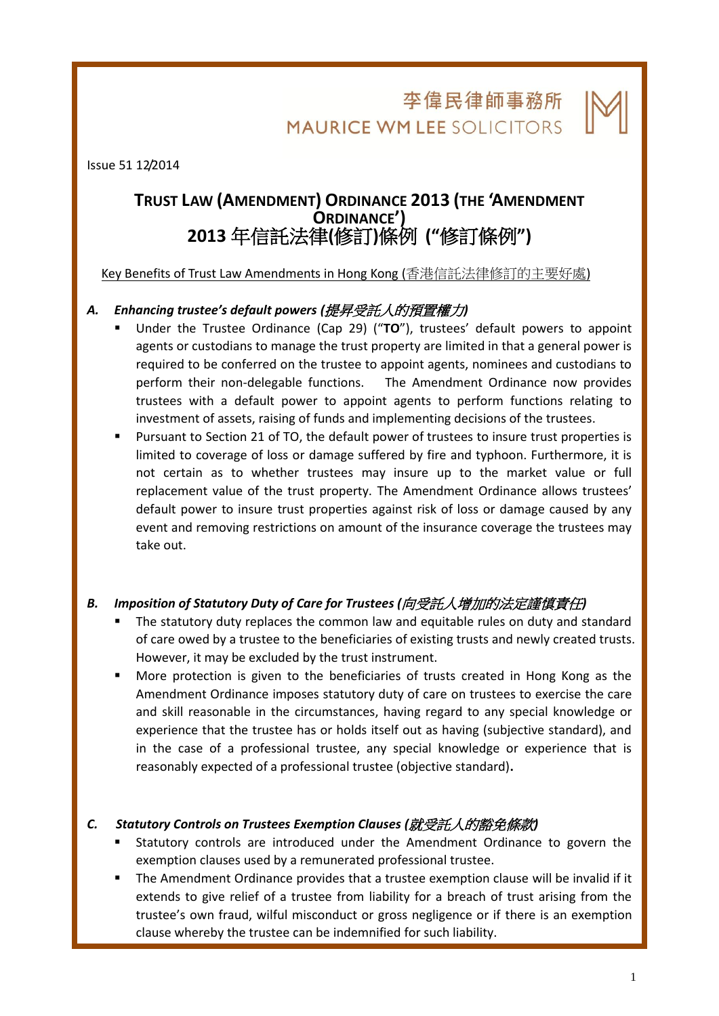李偉民律師事務所 **MAURICE WM LEE SOLICITORS** 

l,

Issue 51 12/2014

# **TRUST LAW (AMENDMENT) ORDINANCE 2013 (THE 'AMENDMENT ORDINANCE') 2013** 年信託法律**(**修訂**)**條例 **("**修訂條例**")**

Key Benefits of Trust Law Amendments in Hong Kong (香港信託法律修訂的主要好處)

## *A. Enhancing trustee's default powers (*提昇受託人的預置權力*)*

- Under the Trustee Ordinance (Cap 29) ("**TO**"), trustees' default powers to appoint agents or custodians to manage the trust property are limited in that a general power is required to be conferred on the trustee to appoint agents, nominees and custodians to perform their non-delegable functions. The Amendment Ordinance now provides trustees with a default power to appoint agents to perform functions relating to investment of assets, raising of funds and implementing decisions of the trustees.
- Pursuant to Section 21 of TO, the default power of trustees to insure trust properties is limited to coverage of loss or damage suffered by fire and typhoon. Furthermore, it is not certain as to whether trustees may insure up to the market value or full replacement value of the trust property. The Amendment Ordinance allows trustees' default power to insure trust properties against risk of loss or damage caused by any event and removing restrictions on amount of the insurance coverage the trustees may take out.

# *B. Imposition of Statutory Duty of Care for Trustees (*向受託人增加的法定謹慎責任*)*

- The statutory duty replaces the common law and equitable rules on duty and standard of care owed by a trustee to the beneficiaries of existing trusts and newly created trusts. However, it may be excluded by the trust instrument.
- More protection is given to the beneficiaries of trusts created in Hong Kong as the Amendment Ordinance imposes statutory duty of care on trustees to exercise the care and skill reasonable in the circumstances, having regard to any special knowledge or experience that the trustee has or holds itself out as having (subjective standard), and in the case of a professional trustee, any special knowledge or experience that is reasonably expected of a professional trustee (objective standard)**.**

#### *C. Statutory Controls on Trustees Exemption Clauses (*就受託人的豁免條款*)*

- Statutory controls are introduced under the Amendment Ordinance to govern the exemption clauses used by a remunerated professional trustee.
- The Amendment Ordinance provides that a trustee exemption clause will be invalid if it extends to give relief of a trustee from liability for a breach of trust arising from the trustee's own fraud, wilful misconduct or gross negligence or if there is an exemption clause whereby the trustee can be indemnified for such liability.